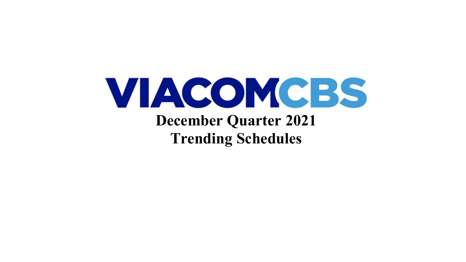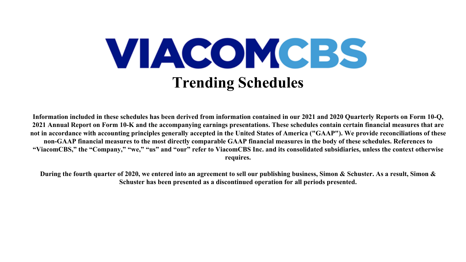

**Information included in these schedules has been derived from information contained in our 2021 and 2020 Quarterly Reports on Form 10-Q, 2021 Annual Report on Form 10-K and the accompanying earnings presentations. These schedules contain certain financial measures that are not in accordance with accounting principles generally accepted in the United States of America ("GAAP"). We provide reconciliations of these non-GAAP financial measures to the most directly comparable GAAP financial measures in the body of these schedules. References to "ViacomCBS," the "Company," "we," "us" and "our" refer to ViacomCBS Inc. and its consolidated subsidiaries, unless the context otherwise requires.**

**During the fourth quarter of 2020, we entered into an agreement to sell our publishing business, Simon & Schuster. As a result, Simon & Schuster has been presented as a discontinued operation for all periods presented.**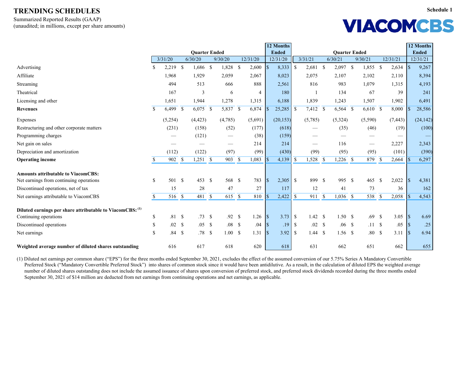Summarized Reported Results (GAAP) (unaudited; in millions, except per share amounts)

| <b>VIACOMCBS</b> |  |
|------------------|--|
|------------------|--|

|                                                           |              |          |               |                      |            |               |          | 12 Months                         |               |                     |               |                      |                          |                    |          |                 | 12 Months    |
|-----------------------------------------------------------|--------------|----------|---------------|----------------------|------------|---------------|----------|-----------------------------------|---------------|---------------------|---------------|----------------------|--------------------------|--------------------|----------|-----------------|--------------|
|                                                           |              |          |               | <b>Quarter Ended</b> |            |               |          | <b>Ended</b>                      |               |                     |               | <b>Quarter Ended</b> |                          |                    |          |                 | <b>Ended</b> |
|                                                           |              | 3/31/20  |               | 6/30/20              | 9/30/20    |               | 12/31/20 | 12/31/20                          |               | 3/31/21             |               | 6/30/21              | 9/30/21                  |                    | 12/31/21 |                 | 12/31/21     |
| Advertising                                               | \$           | 2,219    | $\mathcal{S}$ | 1,686 \$             | 1,828      | $\mathcal{S}$ | 2,600    | 8,333<br>$\vert \mathsf{S} \vert$ | $\mathbb{S}$  | 2,681               | $\mathcal{S}$ | $2,097$ \$           | 1,855                    | $\mathcal{S}$      | 2,634    | $\sqrt{3}$      | 9,267        |
| Affiliate                                                 |              | 1,968    |               | 1,929                | 2,059      |               | 2,067    | 8,023                             |               | 2,075               |               | 2,107                | 2,102                    |                    | 2,110    |                 | 8,394        |
| Streaming                                                 |              | 494      |               | 513                  | 666        |               | 888      | 2,561                             |               | 816                 |               | 983                  | 1,079                    |                    | 1,315    |                 | 4,193        |
| Theatrical                                                |              | 167      |               | $\overline{3}$       | 6          |               | 4        | 180                               |               |                     |               | 134                  | 67                       |                    | 39       |                 | 241          |
| Licensing and other                                       |              | 1,651    |               | 1,944                | 1,278      |               | 1,315    | 6,188                             |               | 1,839               |               | 1,243                | 1,507                    |                    | 1,902    |                 | 6,491        |
| <b>Revenues</b>                                           | \$           | 6,499 \$ |               | $6,075$ \$           | $5,837$ \$ |               | 6,874    | 25,285                            | $\mathbb{S}$  | 7,412 \$            |               | 6,564 \$             | $6,610$ \$               |                    | 8,000    |                 | 28,586       |
| Expenses                                                  |              | (5,254)  |               | (4, 423)             | (4,785)    |               | (5,691)  | (20, 153)                         |               | (5,785)             |               | (5,324)              | (5,590)                  |                    | (7, 443) |                 | (24, 142)    |
| Restructuring and other corporate matters                 |              | (231)    |               | (158)                | (52)       |               | (177)    | (618)                             |               |                     |               | (35)                 | (46)                     |                    | (19)     |                 | (100)        |
| Programming charges                                       |              |          |               | (121)                |            |               | (38)     | (159)                             |               |                     |               |                      |                          |                    |          |                 |              |
| Net gain on sales                                         |              |          |               |                      |            |               | 214      | 214                               |               |                     |               | 116                  | $\overline{\phantom{0}}$ |                    | 2,227    |                 | 2,343        |
| Depreciation and amortization                             |              | (112)    |               | (122)                | (97)       |               | (99)     | (430)                             |               | (99)                |               | (95)                 | (95)                     |                    | (101)    |                 | (390)        |
| <b>Operating income</b>                                   | \$           | 902S     |               | $1,251$ \$           | 903 \$     |               | 1,083    | 4,139                             |               | ,528                | $\sqrt{\ }$   | $1,226$ \$           | 879                      | $\mathcal{S}$      | 2,664    |                 | 6,297        |
| <b>Amounts attributable to ViacomCBS:</b>                 |              |          |               |                      |            |               |          |                                   |               |                     |               |                      |                          |                    |          |                 |              |
| Net earnings from continuing operations                   | \$           | 501      | $\mathbf s$   | 453 \$               | 568 \$     |               | 783      | 2,305<br>$\vert \mathbf{S} \vert$ | $\mathcal{S}$ | 899 \$              |               | 995 \$               | 465                      | $\mathcal{S}$      | 2,022    | <b>S</b>        | 4,381        |
| Discontinued operations, net of tax                       |              | 15       |               | 28                   | 47         |               | 27       | 117                               |               | 12                  |               | 41                   | 73                       |                    | 36       |                 | 162          |
| Net earnings attributable to ViacomCBS                    | $\mathbb{S}$ | 516 \$   |               | 481 \$               | 615S       |               | 810      | 2,422                             | $\mathcal{S}$ | $\overline{911}$ \$ |               | $1,036$ \$           | 538                      | $\mathcal{S}$      | 2,058    |                 | 4,543        |
| Diluted earnings per share attributable to ViacomCBS: (1) |              |          |               |                      |            |               |          |                                   |               |                     |               |                      |                          |                    |          |                 |              |
| Continuing operations                                     | \$           | .81      | $\mathcal{S}$ | .73S                 | .92 S      |               | 1.26     | $\sqrt{S}$<br>3.73                | $\mathbb{S}$  | 1.42 S              |               | 1.50S                | .69                      | $\mathcal{S}$      | 3.05     | <b>S</b>        | 6.69         |
| Discontinued operations                                   | \$           | .02 S    |               | $.05 \t S$           | $.08-$     |               | .04      | .19<br>$\sqrt{S}$                 | $\mathbb{S}$  | $.02 \quad$         |               | $.06-$               | .11S                     |                    | .05      | l \$            | .25          |
| Net earnings                                              | \$           | .84S     |               | .78S                 | 1.00S      |               | 1.31     | 3.92<br>$\sqrt{3}$                | -S            | 1.44 S              |               | $1.56$ \$            | .80                      | $\mathbf{\hat{S}}$ | 3.11     | $\vert s \vert$ | 6.94         |
| Weighted average number of diluted shares outstanding     |              | 616      |               | 617                  | 618        |               | 620      | 618                               |               | 631                 |               | 662                  | 651                      |                    | 662      |                 | 655          |

(1) Diluted net earnings per common share ("EPS") for the three months ended September 30, 2021, excludes the effect of the assumed conversion of our 5.75% Series A Mandatory Convertible Preferred Stock ("Mandatory Convertible Preferred Stock") into shares of common stock since it would have been antidilutive. As a result, in the calculation of diluted EPS the weighted average number of diluted shares outstanding does not include the assumed issuance of shares upon conversion of preferred stock, and preferred stock dividends recorded during the three months ended September 30, 2021 of \$14 million are deducted from net earnings from continuing operations and net earnings, as applicable.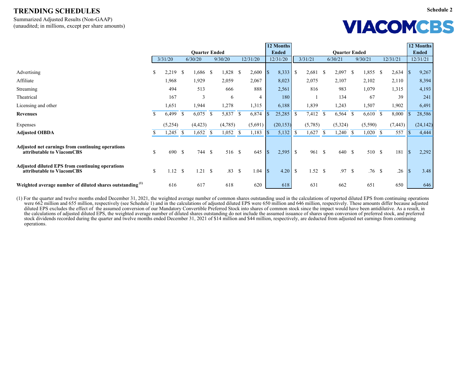Summarized Adjusted Results (Non-GAAP) (unaudited; in millions, except per share amounts)

# **VIACOMCBS**

|                                                                                     |                    |              |               |                      |              |          |    |          |                 | 12 Months    |               |              |               |                      |                    |         |                           |          |                    | 12 Months    |
|-------------------------------------------------------------------------------------|--------------------|--------------|---------------|----------------------|--------------|----------|----|----------|-----------------|--------------|---------------|--------------|---------------|----------------------|--------------------|---------|---------------------------|----------|--------------------|--------------|
|                                                                                     |                    |              |               | <b>Quarter Ended</b> |              |          |    |          |                 | <b>Ended</b> |               |              |               | <b>Quarter Ended</b> |                    |         |                           |          |                    | <b>Ended</b> |
|                                                                                     |                    | 3/31/20      |               | 6/30/20              |              | 9/30/20  |    | 12/31/20 |                 | 12/31/20     |               | 3/31/21      |               | 6/30/21              |                    | 9/30/21 |                           | 12/31/21 |                    | 12/31/21     |
| Advertising                                                                         | $\mathbb{S}$       | $2,219$ \$   |               | $1,686$ \$           |              | 1,828 \$ |    | 2,600    |                 | 8,333        | $\mathbb{S}$  | 2,681        | $\mathcal{S}$ | 2,097                | -S                 | 1,855   | $\boldsymbol{\mathsf{S}}$ | 2,634    | l \$               | 9,267        |
| Affiliate                                                                           |                    | 1,968        |               | 1,929                |              | 2,059    |    | 2,067    |                 | 8,023        |               | 2,075        |               | 2,107                |                    | 2,102   |                           | 2,110    |                    | 8,394        |
| <b>Streaming</b>                                                                    |                    | 494          |               | 513                  |              | 666      |    | 888      |                 | 2,561        |               | 816          |               | 983                  |                    | 1,079   |                           | 1,315    |                    | 4,193        |
| Theatrical                                                                          |                    | 167          |               | $\overline{3}$       |              | 6        |    | 4        |                 | 180          |               |              |               | 134                  |                    | 67      |                           | 39       |                    | 241          |
| Licensing and other                                                                 |                    | 1,651        |               | 1,944                |              | 1,278    |    | 1,315    |                 | 6,188        |               | 1,839        |               | 1,243                |                    | 1,507   |                           | 1,902    |                    | 6,491        |
| <b>Revenues</b>                                                                     | $\mathcal{S}$      | 6,499        | $\mathcal{S}$ | $6,075$ \$           |              | 5,837 \$ |    | 6,874    |                 | 25,285       | <sup>S</sup>  | 7,412        | $\mathbb{S}$  | 6,564                | $\mathcal{S}$      | 6,610   | $\mathbb{S}$              | 8,000    |                    | 28,586       |
| Expenses                                                                            |                    | (5,254)      |               | (4, 423)             |              | (4,785)  |    | (5,691)  |                 | (20, 153)    |               | (5,785)      |               | (5,324)              |                    | (5,590) |                           | (7, 443) |                    | (24, 142)    |
| <b>Adjusted OIBDA</b>                                                               | -S                 | 245          | <sup>S</sup>  | 1,652                | $\mathbb{S}$ | 1,052    | -S | 1,183    |                 | 5,132        | <sup>\$</sup> | 1,627        | <sup>\$</sup> | 1,240                | $\mathbf{\hat{S}}$ | 1,020   | $\mathbb{S}$              | 557      |                    | 4,444        |
| Adjusted net earnings from continuing operations<br>attributable to ViacomCBS       | $\mathcal{S}$      | 690 \$       |               | 744 \$               |              | 516 \$   |    | 645      | $\sqrt{S}$      |              |               | 961 \$       |               | 640 \$               |                    | 510 \$  |                           | 181      | $\sqrt{3}$         | 2,292        |
| <b>Adjusted diluted EPS from continuing operations</b><br>attributable to ViacomCBS | $\mathbf{\hat{S}}$ | $1.12 \quad$ |               | $1.21 \quad$         |              | .83S     |    | 1.04     | $\vert s \vert$ | 4.20         | $\mathbb{S}$  | $1.52 \quad$ |               | .97S                 |                    | .76     | $\mathbb{S}$              | .26      | $\vert \mathsf{s}$ | 3.48         |
| Weighted average number of diluted shares outstanding <sup>(1)</sup>                |                    | 616          |               | 617                  |              | 618      |    | 620      |                 | 618          |               | 631          |               | 662                  |                    | 651     |                           | 650      |                    | 646          |

(1) For the quarter and twelve months ended December 31, 2021, the weighted average number of common shares outstanding used in the calculations of reported diluted EPS from continuing operations were 662 million and 655 million, respectively (see Schedule 1) and in the calculations of adjusted diluted EPS were 650 million and 646 million, respectively. These amounts differ because adjusted diluted EPS excludes the effect of the assumed conversion of our Mandatory Convertible Preferred Stock into shares of common stock since the impact would have been antidilutive. As a result, in the calculations of adjusted diluted EPS, the weighted average number of diluted shares outstanding do not include the assumed issuance of shares upon conversion of preferred stock, and preferred stock dividends recorded during the quarter and twelve months ended December 31, 2021 of \$14 million and \$44 million, respectively, are deducted from adjusted net earnings from continuing operations.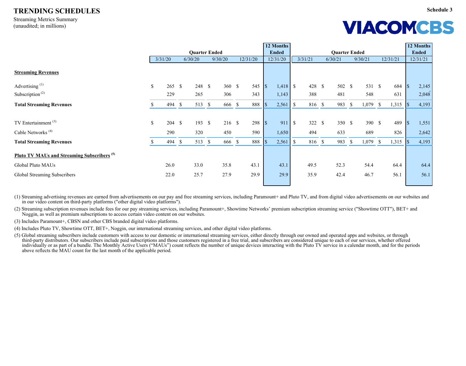Streaming Metrics Summary (unaudited; in millions)

**Schedule 3**

### **VIACOMCBS**

|                                                        |                           |                   |                      |          |          |            | 12 Months    |              |         |                      |               |         |              |          |                    | 12 Months    |
|--------------------------------------------------------|---------------------------|-------------------|----------------------|----------|----------|------------|--------------|--------------|---------|----------------------|---------------|---------|--------------|----------|--------------------|--------------|
|                                                        |                           |                   | <b>Quarter Ended</b> |          |          |            | <b>Ended</b> |              |         | <b>Quarter Ended</b> |               |         |              |          |                    | <b>Ended</b> |
|                                                        |                           | 3/31/20           | 6/30/20              | 9/30/20  | 12/31/20 |            | 12/31/20     |              | 3/31/21 | 6/30/21              |               | 9/30/21 |              | 12/31/21 |                    | 12/31/21     |
| <b>Streaming Revenues</b>                              |                           |                   |                      |          |          |            |              |              |         |                      |               |         |              |          |                    |              |
| Advertising <sup>(1)</sup>                             | $\boldsymbol{\mathsf{S}}$ | $265 \text{ }$ \$ | 248 \$               | 360 S    | 545      | $\sqrt{S}$ |              |              | 428 \$  | 502 \$               |               | 531 \$  |              | 684      | $\sqrt{3}$         | 2,145        |
| Subscription <sup><math>(2)</math></sup>               |                           | 229               | 265                  | 306      | 343      |            | 1,143        |              | 388     | 481                  |               | 548     |              | 631      |                    | 2,048        |
| <b>Total Streaming Revenues</b>                        |                           | 494 \$            | 513 \$               | 666 \$   | 888      |            | 2,561        | $\mathbb{S}$ | 816 \$  | 983                  | $\mathcal{S}$ | 1,079   | $\mathbb{S}$ | 1,315    | I\$                | 4,193        |
|                                                        |                           |                   |                      |          |          |            |              |              |         |                      |               |         |              |          |                    |              |
| TV Entertainment $(3)$                                 | $\mathbb{S}$              | 204S              | 193S                 | $216$ \$ | 298      | $\sqrt{S}$ | 911          | $\mathbb{S}$ | 322 \$  | 350 \$               |               | 390 \$  |              | 489      | $\vert \mathsf{s}$ | 1,551        |
| Cable Networks <sup>(4)</sup>                          |                           | 290               | 320                  | 450      | 590      |            | 1,650        |              | 494     | 633                  |               | 689     |              | 826      |                    | 2,642        |
| <b>Total Streaming Revenues</b>                        |                           | 494 \$            | 513 \$               | 666 \$   | 888      |            | 2,561        | $\mathbb{S}$ | 816 \$  | 983                  | <sup>\$</sup> | 1,079   | $\mathbb{S}$ | 1,315    | <b>S</b>           | 4,193        |
| Pluto TV MAUs and Streaming Subscribers <sup>(5)</sup> |                           |                   |                      |          |          |            |              |              |         |                      |               |         |              |          |                    |              |
| Global Pluto MAUs                                      |                           | 26.0              | 33.0                 | 35.8     | 43.1     |            | 43.1         |              | 49.5    | 52.3                 |               | 54.4    |              | 64.4     |                    | 64.4         |
| Global Streaming Subscribers                           |                           | 22.0              | 25.7                 | 27.9     | 29.9     |            | 29.9         |              | 35.9    | 42.4                 |               | 46.7    |              | 56.1     |                    | 56.1         |
|                                                        |                           |                   |                      |          |          |            |              |              |         |                      |               |         |              |          |                    |              |

(1) Streaming advertising revenues are earned from advertisements on our pay and free streaming services, including Paramount+ and Pluto TV, and from digital video advertisements on our websites and in our video content on third-party platforms ("other digital video platforms").

(2) Streaming subscription revenues include fees for our pay streaming services, including Paramount+, Showtime Networks' premium subscription streaming service ("Showtime OTT"), BET+ and Noggin, as well as premium subscriptions to access certain video content on our websites.

(3) Includes Paramount+, CBSN and other CBS branded digital video platforms.

(4) Includes Pluto TV, Showtime OTT, BET+, Noggin, our international streaming services, and other digital video platforms.

(5) Global streaming subscribers include customers with access to our domestic or international streaming services, either directly through our owned and operated apps and websites, or through third-party distributors. Our subscribers include paid subscriptions and those customers registered in a free trial, and subscribers are considered unique to each of our services, whether offered individually or as part of a bundle. The Monthly Active Users ("MAUs") count reflects the number of unique devices interacting with the Pluto TV service in a calendar month, and for the periods above reflects the MAU count for the last month of the applicable period.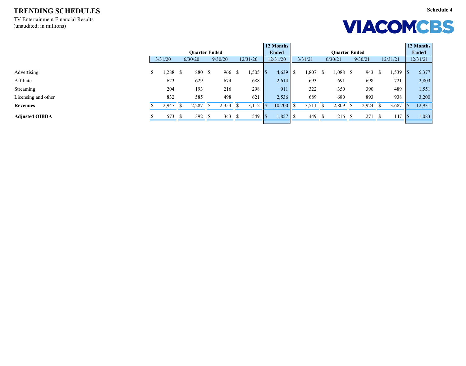TV Entertainment Financial Results (unaudited; in millions)

## **VIACOMCBS**

|                       |   |           |                      |          |          |     | 12 Months    |      |         |              |                      |               |         |    |          |            | 12 Months    |
|-----------------------|---|-----------|----------------------|----------|----------|-----|--------------|------|---------|--------------|----------------------|---------------|---------|----|----------|------------|--------------|
|                       |   |           | <b>Quarter Ended</b> |          |          |     | <b>Ended</b> |      |         |              | <b>Quarter Ended</b> |               |         |    |          |            | <b>Ended</b> |
|                       |   | 3/31/20   | 6/30/20              | 9/30/20  | 12/31/20 |     | 12/31/20     |      | 3/31/21 |              | 6/30/21              |               | 9/30/21 |    | 12/31/21 |            | 12/31/21     |
|                       |   |           |                      |          |          |     |              |      |         |              |                      |               |         |    |          |            |              |
| Advertising           | D | $,288$ \$ | 880 \$               | 966 \$   | 1,505    | 18  | 4,639        | - \$ | ,807    |              | 0.088                | <sup>\$</sup> | 943     | -S | 1,539    | <b>S</b>   | 5,377        |
| Affiliate             |   | 623       | 629                  | 674      | 688      |     | 2,614        |      | 693     |              | 691                  |               | 698     |    | 721      |            | 2,803        |
| <b>Streaming</b>      |   | 204       | 193                  | 216      | 298      |     | 911          |      | 322     |              | 350                  |               | 390     |    | 489      |            | 1,551        |
| Licensing and other   |   | 832       | 585                  | 498      | 621      |     | 2,536        |      | 689     |              | 680                  |               | 893     |    | 938      |            | 3,200        |
| <b>Revenues</b>       |   | 2,947     | 2,287                | 2,354 \$ | 3,112    |     | $10,700$ \$  |      | 3,511   | $\mathbf{s}$ | 2,809                |               | 2,924   |    | 3,687    | \$         | 12,931       |
| <b>Adjusted OIBDA</b> |   | 573 \$    | 392 $\sqrt$          | 343S     | 549      | IS. | 1,857        | - \$ | 449     | - S          | 216S                 |               | 271S    |    | 147      | $\sqrt{S}$ | 1,083        |
|                       |   |           |                      |          |          |     |              |      |         |              |                      |               |         |    |          |            |              |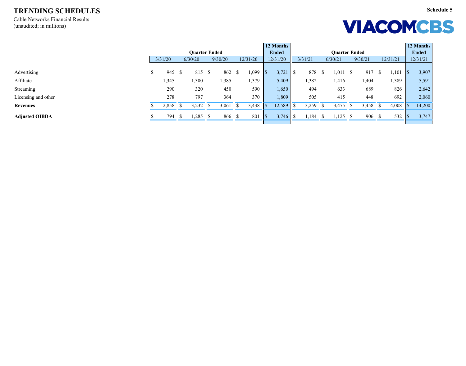Cable Networks Financial Results (unaudited; in millions)



|                       |   |          | 12 Months |                      |  |         |  |          |  |              |      |         |               |                      |               |            |      |          |     | 12 Months    |
|-----------------------|---|----------|-----------|----------------------|--|---------|--|----------|--|--------------|------|---------|---------------|----------------------|---------------|------------|------|----------|-----|--------------|
|                       |   |          |           | <b>Quarter Ended</b> |  |         |  |          |  | <b>Ended</b> |      |         |               | <b>Quarter Ended</b> |               |            |      |          |     | <b>Ended</b> |
|                       |   | 3/31/20  |           | 6/30/20              |  | 9/30/20 |  | 12/31/20 |  | 12/31/20     |      | 3/31/21 |               | 6/30/21              |               | 9/30/21    |      | 12/31/21 |     | 12/31/21     |
|                       |   |          |           |                      |  |         |  |          |  |              |      |         |               |                      |               |            |      |          |     |              |
| Advertising           | P | 945      | - S       | 815 \$               |  | 862     |  | ,099     |  | 3,721        | - \$ | 878     |               | 1,011                | -S            | 917        | - 75 | 1,101    | 1\$ | 3,907        |
| Affiliate             |   | 1,345    |           | 1,300                |  | 1,385   |  | 1,379    |  | 5,409        |      | 1,382   |               | 1,416                |               | 1,404      |      | 1,389    |     | 5,591        |
| Streaming             |   | 290      |           | 320                  |  | 450     |  | 590      |  | 1,650        |      | 494     |               | 633                  |               | 689        |      | 826      |     | 2,642        |
| Licensing and other   |   | 278      |           | 797                  |  | 364     |  | 370      |  | 1,809        |      | 505     |               | 415                  |               | 448        |      | 692      |     | 2,060        |
| <b>Revenues</b>       |   | 2,858 \$ |           | $3,232$ \$           |  | 3,061   |  | 3,438    |  | 12,589       |      | 3,259   |               | 3,475                |               | $3,458$ \$ |      | 4,008    |     | 14,200       |
| <b>Adjusted OIBDA</b> |   | 794 \$   |           | $1,285$ \$           |  | 866 \$  |  | 801      |  | 3,746        |      | 1,184   | $\mathcal{D}$ | 1,125                | $\mathcal{S}$ | 906 \$     |      | 532      |     | 3,747        |
|                       |   |          |           |                      |  |         |  |          |  |              |      |         |               |                      |               |            |      |          |     |              |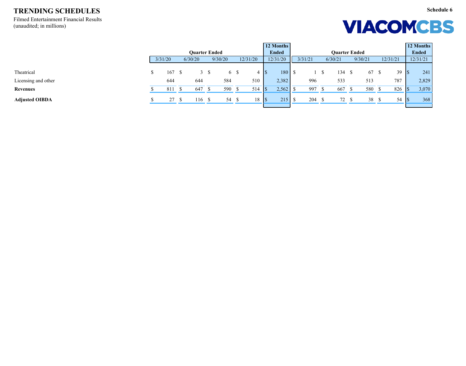Filmed Entertainment Financial Results (unaudited; in millions)

## **VIACOMCBS**

**Schedule 6**

|                       |         |                      |         |              | 12 Months    |         |                      |         |          |          | 12 Months    |
|-----------------------|---------|----------------------|---------|--------------|--------------|---------|----------------------|---------|----------|----------|--------------|
|                       |         | <b>Quarter Ended</b> |         |              | <b>Ended</b> |         | <b>Quarter Ended</b> |         |          |          | <b>Ended</b> |
|                       | 3/31/20 | 6/30/20              | 9/30/20 | 12/31/20     | 12/31/20     | 3/31/21 | 6/30/21              | 9/30/21 | 12/31/21 |          | 12/31/21     |
|                       |         |                      |         |              |              |         |                      |         |          |          |              |
| Theatrical            | 167     | 3S                   | 6 \$    |              | 180          |         | 134                  | 67      | 39       | <b>S</b> | 241          |
| Licensing and other   | 644     | 644                  | 584     | 510          | 2,382        | 996     | 533                  | 513     | 787      |          | 2,829        |
| <b>Revenues</b>       | 811     | 647                  | 590 \$  | 514          | 2,562        | 997     | 667                  | 580 \$  | 826      |          | 3,070        |
| <b>Adjusted OIBDA</b> | 27S     | 116 \$               | 54 \$   | $18 \mid$ \$ | 215          | 204     | 72 <sub>5</sub>      | 38      | 54       |          | 368          |
|                       |         |                      |         |              |              |         |                      |         |          |          |              |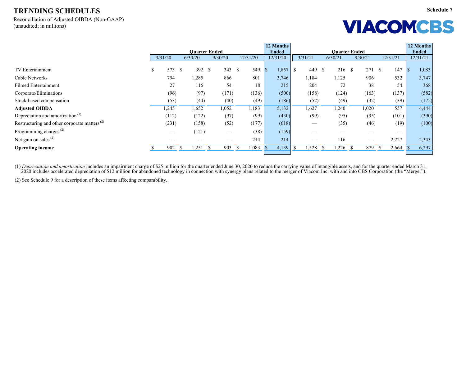Reconciliation of Adjusted OIBDA (Non-GAAP) (unaudited; in millions)

# **VIACOMCBS**

|                                                          |           |                     |                      |                                 |          | 12 Months    |                      |                      |                                |                        |                         | 12 Months    |
|----------------------------------------------------------|-----------|---------------------|----------------------|---------------------------------|----------|--------------|----------------------|----------------------|--------------------------------|------------------------|-------------------------|--------------|
|                                                          |           |                     | <b>Ouarter Ended</b> |                                 |          | <b>Ended</b> |                      |                      | <b>Quarter Ended</b>           |                        |                         | <b>Ended</b> |
|                                                          | 3/31/20   |                     | 6/30/20              | 9/30/20                         | 12/31/20 | 12/31/20     | 3/31/21              | 6/30/21              | 9/30/21                        | 12/31/21               |                         | 12/31/21     |
| TV Entertainment                                         | 573<br>\$ | - \$                | 392 \$               | 343S                            | 549      | 1,857        | 449<br>$\mathcal{S}$ | <sup>S</sup><br>216  | 271<br><sup>\$</sup>           | $\mathbb{S}$<br>147    | $\vert \mathsf{s}$      | 1,083        |
| <b>Cable Networks</b>                                    | 794       |                     | 1,285                | 866                             | 801      | 3,746        | 1,184                | 1,125                | 906                            | 532                    |                         | 3,747        |
| <b>Filmed Entertainment</b>                              |           | 27                  | 116                  | 54                              | 18       | 215          | 204                  | 72                   | 38                             | 54                     |                         | 368          |
| Corporate/Eliminations                                   |           | (96)                | (97)                 | (171)                           | (136)    | (500)        | (158)                | (124)                | (163)                          | (137)                  |                         | (582)        |
| Stock-based compensation                                 |           | (53)                | (44)                 | (40)                            | (49)     | (186)        | (52)                 | (49)                 | (32)                           | (39)                   |                         | (172)        |
| <b>Adjusted OIBDA</b>                                    | 1,245     |                     | 1,652                | 1,052                           | 1,183    | 5,132        | 1,627                | 1,240                | 1,020                          | 557                    |                         | 4,444        |
| Depreciation and amortization <sup>(1)</sup>             | (112)     |                     | (122)                | (97)                            | (99)     | (430)        | (99)                 | (95)                 | (95)                           | (101)                  |                         | (390)        |
| Restructuring and other corporate matters <sup>(2)</sup> | (231)     |                     | (158)                | (52)                            | (177)    | (618)        |                      | (35)                 | (46)                           | (19)                   |                         | (100)        |
| Programming charges <sup>(2)</sup>                       |           |                     | (121)                | $\hspace{0.1mm}-\hspace{0.1mm}$ | (38)     | (159)        |                      |                      |                                | __                     |                         |              |
| Net gain on sales $(2)$                                  |           |                     |                      |                                 | 214      | 214          |                      | 116                  | $\overbrace{\hspace{27mm}}^{}$ | 2,227                  |                         | 2,343        |
| <b>Operating income</b>                                  |           | <sup>S</sup><br>902 | 1,251                | $\mathbf{s}$<br>903             | 1,083    | 4,139        | 1,528                | ,226<br>$\mathbb{S}$ | 879<br>ъ                       | $\mathcal{S}$<br>2,664 | $\overline{\mathbf{S}}$ | 6,297        |

(1) *Depreciation and amortization* includes an impairment charge of \$25 million for the quarter ended June 30, 2020 to reduce the carrying value of intangible assets, and for the quarter ended March 31, 2020 includes accelerated depreciation of \$12 million for abandoned technology in connection with synergy plans related to the merger of Viacom Inc. with and into CBS Corporation (the "Merger").

(2) See Schedule 9 for a description of these items affecting comparability.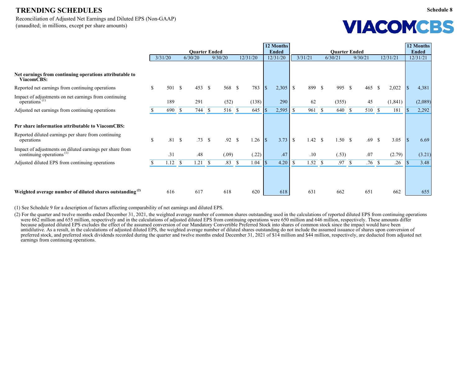Reconciliation of Adjusted Net Earnings and Diluted EPS (Non-GAAP) (unaudited; in millions, except per share amounts)

|                                                                                                  |                           |         |               |                      |              |         |               |          |                          | 12 Months    |              |         |              |                      |              |                  |              |          |                    | 12 Months    |
|--------------------------------------------------------------------------------------------------|---------------------------|---------|---------------|----------------------|--------------|---------|---------------|----------|--------------------------|--------------|--------------|---------|--------------|----------------------|--------------|------------------|--------------|----------|--------------------|--------------|
|                                                                                                  |                           |         |               | <b>Quarter Ended</b> |              |         |               |          |                          | <b>Ended</b> |              |         |              | <b>Quarter Ended</b> |              |                  |              |          |                    | <b>Ended</b> |
|                                                                                                  |                           | 3/31/20 | 6/30/20       |                      |              | 9/30/20 |               | 12/31/20 |                          | 12/31/20     |              | 3/31/21 |              | 6/30/21              |              | 9/30/21          |              | 12/31/21 |                    | 12/31/21     |
|                                                                                                  |                           |         |               |                      |              |         |               |          |                          |              |              |         |              |                      |              |                  |              |          |                    |              |
| Net earnings from continuing operations attributable to<br>ViacomCBS:                            |                           |         |               |                      |              |         |               |          |                          |              |              |         |              |                      |              |                  |              |          |                    |              |
| Reported net earnings from continuing operations                                                 | $\boldsymbol{\mathsf{S}}$ | 501 \$  |               | 453 $\sqrt{ }$       |              | 568 \$  |               | 783      | $\vert \mathbf{S} \vert$ | 2,305        | $\mathbb{S}$ | 899 \$  |              | 995                  | $\mathbb{S}$ | 465              | $\mathbb{S}$ | 2,022    |                    | 4,381        |
| Impact of adjustments on net earnings from continuing<br>$\overline{\text{operations}}^{(1)}$    |                           | 189     |               | 291                  |              | (52)    |               | (138)    |                          | 290          |              | 62      |              | (355)                |              | 45               |              | (1, 841) |                    | (2,089)      |
| Adjusted net earnings from continuing operations                                                 |                           | 690 \$  |               | 744 \$               |              | 516 \$  |               | 645      |                          | 2,595        |              | 961     | $\mathbb{S}$ | 640                  | $\mathbb{S}$ | 510 \$           |              | 181      |                    | 2,292        |
| Per share information attributable to ViacomCBS:                                                 |                           |         |               |                      |              |         |               |          |                          |              |              |         |              |                      |              |                  |              |          |                    |              |
| Reported diluted earnings per share from continuing<br>operations                                | $\mathcal{S}$             | .81S    |               | .73S                 |              | .92 S   |               | 1.26     | $\mathbf{s}$             | 3.73         | $\mathbb{S}$ | 1.42 S  |              | 1.50S                |              | $.69$ \$         |              | 3.05     | $\lvert \, \rceil$ | 6.69         |
| Impact of adjustments on diluted earnings per share from<br>continuing operations <sup>(1)</sup> |                           | .31     |               | .48                  |              | (.09)   |               | (.22)    |                          | .47          |              | .10     |              | (.53)                |              | .07              |              | (2.79)   |                    | (3.21)       |
| Adjusted diluted EPS from continuing operations                                                  |                           | .12     | $\mathcal{S}$ | 1.21                 | $\mathbb{S}$ | .83     | $\mathcal{S}$ | 1.04     |                          | 4.20         |              | 1.52 S  |              | .97                  | $\mathbb{S}$ | .76 <sup>°</sup> |              | .26      |                    | 3.48         |
|                                                                                                  |                           |         |               |                      |              |         |               |          |                          |              |              |         |              |                      |              |                  |              |          |                    |              |
| Weighted average number of diluted shares outstanding <sup>(2)</sup>                             |                           | 616     |               | 617                  |              | 618     |               | 620      |                          | 618          |              | 631     |              | 662                  |              | 651              |              | 662      |                    | 655          |

(1) See Schedule 9 for a description of factors affecting comparability of net earnings and diluted EPS.

(2) For the quarter and twelve months ended December 31, 2021, the weighted average number of common shares outstanding used in the calculations of reported diluted EPS from continuing operations were  $662$  million and  $655$  million, respectively and in the calculations of adjusted diluted EPS from continuing operations were  $650$  million and  $646$  million, respectively. These amounts differ because adjusted diluted EPS excludes the effect of the assumed conversion of our Mandatory Convertible Preferred Stock into shares of common stock since the impact would have been antidilutive. As a result, in the calculations of adjusted diluted EPS, the weighted average number of diluted shares outstanding do not include the assumed issuance of shares upon conversion of preferred stock, and preferred stock dividends recorded during the quarter and twelve months ended December 31, 2021 of \$14 million and \$44 million, respectively, are deducted from adjusted net earnings from continuing operations.

**VIACOMCBS**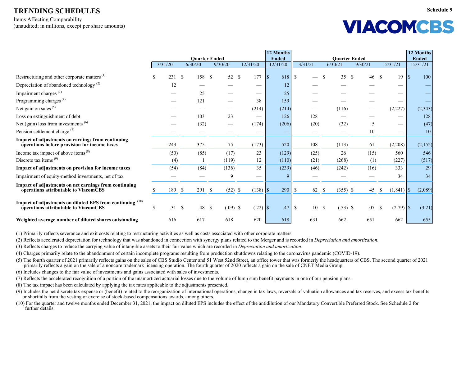Items Affecting Comparability (unaudited; in millions, except per share amounts)

| VIACOMCBS |  |
|-----------|--|
|-----------|--|

|                                                                                                   |               |         |          |                                 |               |            |          |       | 12 Months                |       |                           |      |                    |            |                                 |       |                          |                         | 12 Months                |
|---------------------------------------------------------------------------------------------------|---------------|---------|----------|---------------------------------|---------------|------------|----------|-------|--------------------------|-------|---------------------------|------|--------------------|------------|---------------------------------|-------|--------------------------|-------------------------|--------------------------|
|                                                                                                   |               | 3/31/20 |          | <b>Quarter Ended</b><br>6/30/20 |               | 9/30/20    | 12/31/20 |       | <b>Ended</b><br>12/31/20 |       | 3/31/21                   |      | 6/30/21            |            | <b>Quarter Ended</b><br>9/30/21 |       | 12/31/21                 |                         | <b>Ended</b><br>12/31/21 |
|                                                                                                   |               |         |          |                                 |               |            |          |       |                          |       |                           |      |                    |            |                                 |       |                          |                         |                          |
| Restructuring and other corporate matters <sup>(1)</sup>                                          |               | 231     | <b>S</b> | 158 \$                          |               | 52 \$      |          | 177   | $\vert \mathsf{S} \vert$ | 618   | \$                        |      | <b>S</b>           | 35         | $\mathcal{S}$                   | 46 \$ | 19                       | $\overline{\mathbb{S}}$ | 100                      |
| Depreciation of abandoned technology <sup>(2)</sup>                                               |               | 12      |          |                                 |               |            |          |       |                          | 12    |                           |      |                    |            |                                 |       |                          |                         |                          |
| Impairment charges <sup>(3)</sup>                                                                 |               |         |          | 25                              |               |            |          |       |                          | 25    |                           |      |                    |            |                                 |       |                          |                         |                          |
| Programming charges <sup>(4)</sup>                                                                |               |         |          | 121                             |               |            |          | 38    |                          | 159   |                           |      |                    |            |                                 |       |                          |                         |                          |
| Net gain on sales $(5)$                                                                           |               |         |          |                                 |               |            |          | (214) |                          | (214) |                           |      |                    | (116)      |                                 |       | (2,227)                  |                         | (2, 343)                 |
| Loss on extinguishment of debt                                                                    |               |         |          | 103                             |               | 23         |          |       |                          | 126   |                           | 128  |                    |            |                                 |       | $\overline{\phantom{a}}$ |                         | 128                      |
| Net (gain) loss from investments $(6)$                                                            |               |         |          | (32)                            |               |            |          | (174) |                          | (206) |                           | (20) |                    | (32)       |                                 | 5     |                          |                         | (47)                     |
| Pension settlement charge <sup>(7)</sup>                                                          |               |         |          |                                 |               |            |          |       |                          | -     |                           |      |                    |            |                                 | 10    |                          |                         | 10                       |
| Impact of adjustments on earnings from continuing<br>operations before provision for income taxes |               | 243     |          | 375                             |               | 75         |          | (173) |                          | 520   |                           | 108  |                    | (113)      |                                 | 61    | (2,208)                  |                         | (2,152)                  |
| Income tax impact of above items <sup>(8)</sup>                                                   |               | (50)    |          | (85)                            |               | (17)       |          | 23    |                          | (129) |                           | (25) |                    | 26         |                                 | (15)  | 560                      |                         | 546                      |
| Discrete tax items $(9)$                                                                          |               | (4)     |          |                                 |               | (119)      |          | 12    |                          | (110) |                           | (21) |                    | (268)      |                                 | (1)   | (227)                    |                         | (517)                    |
| Impact of adjustments on provision for income taxes                                               |               | (54)    |          | (84)                            |               | (136)      |          | 35    |                          | (239) |                           | (46) |                    | (242)      |                                 | (16)  | 333                      |                         | 29                       |
| Impairment of equity-method investments, net of tax                                               |               |         |          |                                 |               | 9          |          |       |                          |       |                           |      |                    |            |                                 |       | 34                       |                         | 34                       |
| Impact of adjustments on net earnings from continuing<br>operations attributable to ViacomCBS     |               | 189 \$  |          | 291                             | $\mathcal{S}$ | $(52)$ \$  |          |       |                          | 290   | $\mathbb{S}$              | 62   | $\mathbf{\hat{s}}$ | $(355)$ \$ |                                 | 45    | (1, 841)<br>-S           | $\vert$ \$              | (2,089)                  |
| Impact of adjustments on diluted EPS from continuing (10)<br>operations attributable to ViacomCBS | <sup>\$</sup> | .31 S   |          | .48                             | $\mathbb{S}$  | $(.09)$ \$ |          |       |                          | .47   | $\boldsymbol{\mathsf{S}}$ | .10  | $\mathcal{S}$      | $(.53)$ \$ |                                 | .07   | $\mathcal{S}$            |                         | (3.21)                   |
| Weighted average number of diluted shares outstanding                                             |               | 616     |          | 617                             |               | 618        |          | 620   |                          | 618   |                           | 631  |                    | 662        |                                 | 651   | 662                      |                         | 655                      |

(1) Primarily reflects severance and exit costs relating to restructuring activities as well as costs associated with other corporate matters.

(2) Reflects accelerated depreciation for technology that was abandoned in connection with synergy plans related to the Merger and is recorded in *Depreciation and amortization*.

(3) Reflects charges to reduce the carrying value of intangible assets to their fair value which are recorded in *Depreciation and amortization*.

(4) Charges primarily relate to the abandonment of certain incomplete programs resulting from production shutdowns relating to the coronavirus pandemic (COVID-19).

(5) The fourth quarter of 2021 primarily reflects gains on the sales of CBS Studio Center and 51 West 52nd Street, an office tower that was formerly the headquarters of CBS. The second quarter of 2021 primarily reflects a gain on the sale of a noncore trademark licensing operation. The fourth quarter of 2020 reflects a gain on the sale of CNET Media Group.

(6) Includes changes to the fair value of investments and gains associated with sales of investments.

(7) Reflects the accelerated recognition of a portion of the unamortized actuarial losses due to the volume of lump sum benefit payments in one of our pension plans.

(8) The tax impact has been calculated by applying the tax rates applicable to the adjustments presented.

(9) Includes the net discrete tax expense or (benefit) related to the reorganization of international operations, change in tax laws, reversals of valuation allowances and tax reserves, and excess tax benefits or shortfalls from the vesting or exercise of stock-based compensations awards, among others.

(10) For the quarter and twelve months ended December 31, 2021, the impact on diluted EPS includes the effect of the antidilution of our Mandatory Convertible Preferred Stock. See Schedule 2 for further details.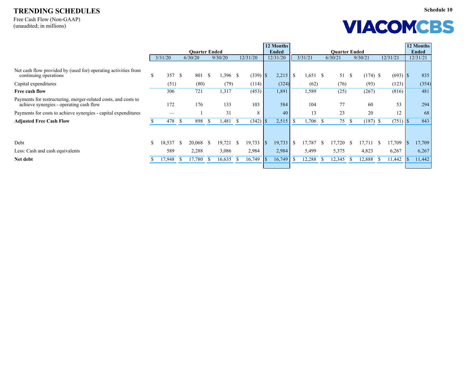Free Cash Flow (Non-GAAP) (unaudited; in millions)

| <b>VIACOMCBS</b> |  |
|------------------|--|
|------------------|--|

**Schedule 10**

|                                                                                                           |              |         |               |                      |              |            |    |          |            | 12 Months    |                      |            |              |         |              |            |               |          | 12 Months |              |  |
|-----------------------------------------------------------------------------------------------------------|--------------|---------|---------------|----------------------|--------------|------------|----|----------|------------|--------------|----------------------|------------|--------------|---------|--------------|------------|---------------|----------|-----------|--------------|--|
|                                                                                                           |              |         |               | <b>Quarter Ended</b> |              |            |    |          |            | <b>Ended</b> | <b>Quarter Ended</b> |            |              |         |              |            |               |          |           | <b>Ended</b> |  |
|                                                                                                           |              | 3/31/20 |               | 6/30/20              |              | 9/30/20    |    | 12/31/20 |            | 12/31/20     |                      | 3/31/21    |              | 6/30/21 |              | 9/30/21    |               | 12/31/21 |           | 12/31/21     |  |
| Net cash flow provided by (used for) operating activities from<br>continuing operations                   | \$           | 357 \$  |               | 801                  | $\mathbb{S}$ | $1,396$ \$ |    |          |            | 2,215        | \$                   | $1,651$ \$ |              | 51      | $\mathbb{S}$ | $(174)$ \$ |               |          |           | 835          |  |
| Capital expenditures                                                                                      |              | (51)    |               | (80)                 |              | (79)       |    | (114)    |            | (324)        |                      | (62)       |              | (76)    |              | (93)       |               | (123)    |           | (354)        |  |
| Free cash flow                                                                                            |              | 306     |               | 721                  |              | 1,317      |    | (453)    |            | 1,891        |                      | 1,589      |              | (25)    |              | (267)      |               | (816)    |           | 481          |  |
| Payments for restructuring, merger-related costs, and costs to<br>achieve synergies - operating cash flow |              | 172     |               | 176                  |              | 133        |    | 103      |            | 584          |                      | 104        |              | 77      |              | 60         |               | 53       |           | 294          |  |
| Payments for costs to achieve synergies - capital expenditures                                            |              |         |               |                      |              | 31         |    | 8        |            | 40           |                      | 13         |              | 23      |              | 20         |               | 12       |           | 68           |  |
| <b>Adjusted Free Cash Flow</b>                                                                            |              | 478     | $\mathcal{S}$ | 898                  | $\mathbb{S}$ | 1,481      |    | (342)    |            | 2,515        |                      | ,706       | $\mathbb{S}$ | 75      | $\mathbb{S}$ | (187)      | $\mathcal{S}$ |          |           | 843          |  |
|                                                                                                           |              |         |               |                      |              |            |    |          |            |              |                      |            |              |         |              |            |               |          |           |              |  |
| Debt                                                                                                      | $\mathbb{S}$ | 18,537  |               | 20,068               | <sup>S</sup> | 19,721     | -S | 19,733   | $\sqrt{3}$ | 19,733       | <sup>\$</sup>        | 17,787     | -S           | 17,720  | D.           | 17,711     | <sup>\$</sup> | 17,709   |           | 17,709       |  |
| Less: Cash and cash equivalents                                                                           |              | 589     |               | 2,288                |              | 3,086      |    | 2,984    |            | 2,984        |                      | 5,499      |              | 5,375   |              | 4,823      |               | 6,267    |           | 6,267        |  |
| Net debt                                                                                                  |              | 17,948  |               | 17,780               | $\mathbb{S}$ | 16,635     |    | 16,749   |            | 16,749       |                      | 12,288     | \$           | 12,345  | - 75         | 12,888     | <sup>\$</sup> | 11,442   |           | 11,442       |  |
|                                                                                                           |              |         |               |                      |              |            |    |          |            |              |                      |            |              |         |              |            |               |          |           |              |  |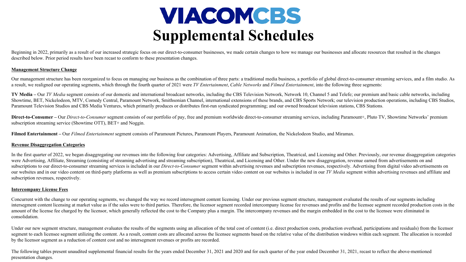### VIACOMCBS **Supplemental Schedules**

Beginning in 2022, primarily as a result of our increased strategic focus on our direct-to-consumer businesses, we made certain changes to how we manage our businesses and allocate resources that resulted in the changes described below. Prior period results have been recast to conform to these presentation changes.

#### **Management Structure Change**

Our management structure has been reorganized to focus on managing our business as the combination of three parts: a traditional media business, a portfolio of global direct-to-consumer streaming services, and a film studi a result, we realigned our operating segments, which through the fourth quarter of 2021 were *TV Entertainment*, *Cable Networks* and *Filmed Entertainment*, into the following three segments:

TV Media – Our TV Media segment consists of our domestic and international broadcast networks, including the CBS Television Network, Network 10, Channel 5 and Telefe; our premium and basic cable networks, including Showtime, BET, Nickelodeon, MTV, Comedy Central, Paramount Network, Smithsonian Channel, international extensions of these brands, and CBS Sports Network; our television production operations, including CBS Studios, Paramount Television Studios and CBS Media Ventures, which primarily produces or distributes first-run syndicated programming; and our owned broadcast television stations, CBS Stations.

Direct-to-Consumer – Our *Direct-to-Consumer* segment consists of our portfolio of pay, free and premium worldwide direct-to-consumer streaming services, including Paramount+, Pluto TV, Showtime Networks' premium subscription streaming service (Showtime OTT), BET+ and Noggin.

**Filmed Entertainment –** Our *Filmed Entertainment* segment consists of Paramount Pictures, Paramount Players, Paramount Animation, the Nickelodeon Studio, and Miramax.

#### **Revenue Disaggregation Categories**

In the first quarter of 2022, we began disaggregating our revenues into the following four categories: Advertising, Affiliate and Subscription, Theatrical, and Licensing and Other. Previously, our revenue disaggregation ca were Advertising, Affiliate, Streaming (consisting of streaming advertising and streaming subscription), Theatrical, and Licensing and Other. Under the new disaggregation, revenue earned from advertisements on and subscriptions to our direct-to-consumer streaming services is included in our *Direct-to-Consumer* segment within advertising revenues and subscription revenues, respectively. Advertising from digital video advertisements our websites and in our video content on third-party platforms as well as premium subscriptions to access certain video content on our websites is included in our TV Media segment within advertising revenues and affiliate subscription revenues, respectively.

#### **Intercompany License Fees**

Concurrent with the change to our operating segments, we changed the way we record intersegment content licensing. Under our previous segment structure, management evaluated the results of our segments including intersegment content licensing at market value as if the sales were to third parties. Therefore, the licensor segment recorded intercompany license fee revenues and profits and the licensee segment recorded production cost amount of the license fee charged by the licensor, which generally reflected the cost to the Company plus a margin. The intercompany revenues and the margin embedded in the cost to the licensee were eliminated in consolidation.

Under our new segment structure, management evaluates the results of the segments using an allocation of the total cost of content (i.e. direct production costs, production overhead, participations and residuals) from the segment to each licensee segment utilizing the content. As a result, content costs are allocated across the licensee segments based on the relative value of the distribution windows within each segment. The allocation is r by the licensor segment as a reduction of content cost and no intersegment revenues or profits are recorded.

The following tables present unaudited supplemental financial results for the years ended December 31, 2021 and 2020 and for each quarter of the year ended December 31, 2021, recast to reflect the above-mentioned presentation changes.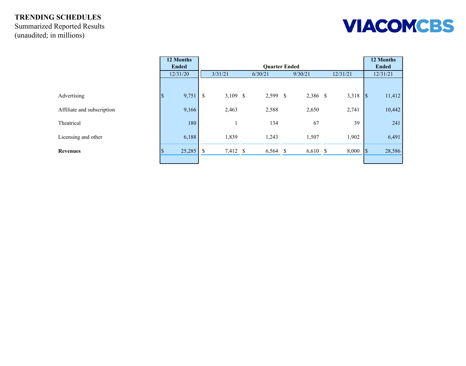### **TRENDING SCHEDULES** Summarized Reported Results (unaudited; in millions)

|                            | 12 Months<br><b>Ended</b> |                                      | 12 Months<br><b>Ended</b> |                                 |          |                                    |
|----------------------------|---------------------------|--------------------------------------|---------------------------|---------------------------------|----------|------------------------------------|
|                            | 12/31/20                  | 3/31/21                              | 6/30/21                   | <b>Quarter Ended</b><br>9/30/21 | 12/31/21 | 12/31/21                           |
|                            |                           |                                      |                           |                                 |          |                                    |
| Advertising                | 9,751<br>$\Phi$<br>D      | $\mathcal{S}$<br>3,109 $\frac{1}{2}$ | $2,599$ \$                | 2,386 \$                        | 3,318    | 11,412<br>$\vert \mathsf{S} \vert$ |
| Affiliate and subscription | 9,166                     | 2,463                                | 2,588                     | 2,650                           | 2,741    | 10,442                             |
| Theatrical                 | 180                       |                                      | 134                       | 67                              | 39       | 241                                |
| Licensing and other        | 6,188                     | 1,839                                | 1,243                     | 1,507                           | 1,902    | 6,491                              |
| <b>Revenues</b>            | 25,285                    | $\mathbb{S}$<br>7,412 \$             | $6,564$ \$                | $6,610$ \$                      | 8,000    | 28,586<br> \$                      |
|                            |                           |                                      |                           |                                 |          |                                    |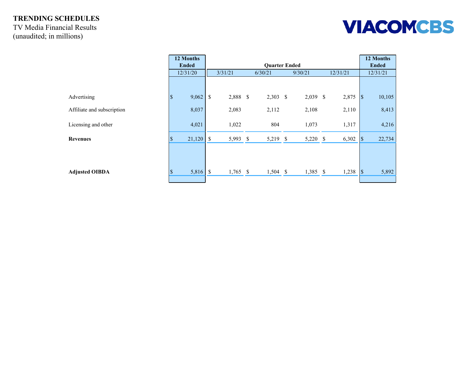TV Media Financial Results (unaudited; in millions)



|                            | 12 Months                         |                       | 12 Months    |            |            |          |                                    |
|----------------------------|-----------------------------------|-----------------------|--------------|------------|------------|----------|------------------------------------|
|                            | <b>Ended</b>                      |                       | <b>Ended</b> |            |            |          |                                    |
|                            | 12/31/20                          | 3/31/21               |              | 6/30/21    | 9/30/21    | 12/31/21 | 12/31/21                           |
|                            |                                   |                       |              |            |            |          |                                    |
| Advertising                | 9,062<br>$\vert \mathsf{S} \vert$ | $\mathbb{S}$<br>2,888 | $\mathbb{S}$ | $2,303$ \$ | 2,039 \$   | 2,875    | $\sqrt{S}$<br>10,105               |
| Affiliate and subscription | 8,037                             | 2,083                 |              | 2,112      | 2,108      | 2,110    | 8,413                              |
| Licensing and other        | 4,021                             | 1,022                 |              | 804        | 1,073      | 1,317    | 4,216                              |
| <b>Revenues</b>            | 21,120<br>۰D                      | $\mathbb{S}$          | 5,993 \$     | 5,219 \$   | 5,220 \$   | 6,302    | 22,734<br>$\vert \mathsf{S} \vert$ |
| <b>Adjusted OIBDA</b>      | 5,816<br>۰D                       | $\mathbb{S}$          | $1,765$ \$   | $1,504$ \$ | $1,385$ \$ | 1,238    | $\sqrt{S}$<br>5,892                |
|                            |                                   |                       |              |            |            |          |                                    |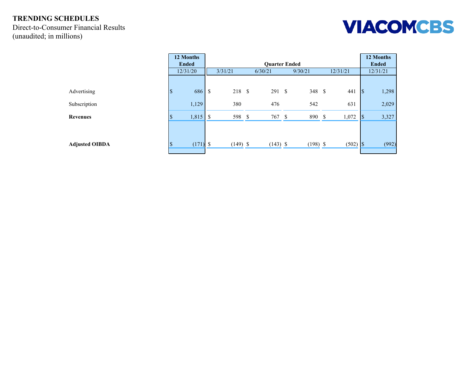Direct-to-Consumer Financial Results (unaudited; in millions)



|                       | 12 Months<br><b>Ended</b> |       |                                  |               | 12 Months<br><b>Ended</b> |  |            |               |          |                          |       |
|-----------------------|---------------------------|-------|----------------------------------|---------------|---------------------------|--|------------|---------------|----------|--------------------------|-------|
|                       | 12/31/20                  |       | 3/31/21                          |               | 6/30/21                   |  | 9/30/21    |               | 12/31/21 | 12/31/21                 |       |
|                       |                           |       |                                  |               |                           |  |            |               |          |                          |       |
| Advertising           | $\boldsymbol{\mathsf{S}}$ | 686   | $\mathsf{\$}$<br>218 \$          |               | 291S                      |  | 348 \$     |               | 441      | $\vert \mathsf{s}$       | 1,298 |
| Subscription          | 1,129                     |       | 380                              |               | 476                       |  | 542        |               | 631      |                          | 2,029 |
| <b>Revenues</b>       | ሐ<br>D                    | 1,815 | $\boldsymbol{\mathsf{S}}$<br>598 | $\mathcal{S}$ | 767 \$                    |  | 890        | $\mathcal{S}$ | 1,072    | $\overline{\mathcal{S}}$ | 3,327 |
|                       |                           |       |                                  |               |                           |  |            |               |          |                          |       |
| <b>Adjusted OIBDA</b> | ¢<br>D                    | (171) | $\mathbb{S}$<br>$(149)$ \$       |               | $(143)$ \$                |  | $(198)$ \$ |               |          |                          | (992) |
|                       |                           |       |                                  |               |                           |  |            |               |          |                          |       |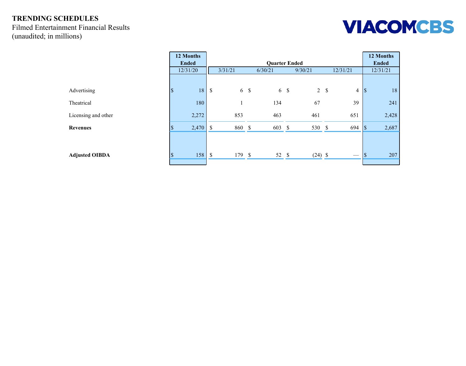#### **TRENDING SCHEDULES** Filmed Entertainment Financial Results (unaudited; in millions)



|                       | 12 Months<br><b>Ended</b>      |                           |           |  | 12 Months<br><b>Ended</b> |         |           |  |                   |                          |          |
|-----------------------|--------------------------------|---------------------------|-----------|--|---------------------------|---------|-----------|--|-------------------|--------------------------|----------|
|                       | 12/31/20                       |                           | 3/31/21   |  | 6/30/21                   | 9/30/21 |           |  | 12/31/21          |                          | 12/31/21 |
|                       |                                |                           |           |  |                           |         |           |  |                   |                          |          |
| Advertising           | $\overline{\mathcal{S}}$<br>18 | $\boldsymbol{\mathsf{S}}$ | $6 \quad$ |  | $6 \sqrt{3}$              |         | 2 S       |  | $\overline{4}$    | $\vert \mathsf{S} \vert$ | 18       |
| Theatrical            | 180                            |                           |           |  | 134                       |         | 67        |  | 39                |                          | 241      |
| Licensing and other   | 2,272                          |                           | 853       |  | 463                       |         | 461       |  | 651               |                          | 2,428    |
| <b>Revenues</b>       | 2,470<br>۱.D                   | \$                        | 860 \$    |  | 603 \$                    |         | 530 \$    |  | 694               | $ \$\$                   | 2,687    |
|                       |                                |                           |           |  |                           |         |           |  |                   |                          |          |
| <b>Adjusted OIBDA</b> | 158<br>$\triangle$<br>۵J       | $\boldsymbol{\mathsf{S}}$ | 179 \$    |  | 52 \$                     |         | $(24)$ \$ |  | $\hspace{0.05cm}$ | ۰D                       | 207      |
|                       |                                |                           |           |  |                           |         |           |  |                   |                          |          |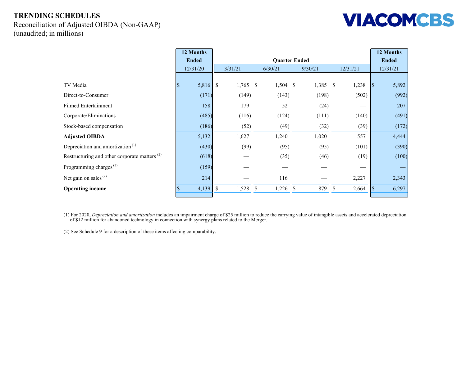Reconciliation of Adjusted OIBDA (Non-GAAP) (unaudited; in millions)



|                                                          |            | 12 Months    |               |            |             |              |  |            |              |          |                          | 12 Months |
|----------------------------------------------------------|------------|--------------|---------------|------------|-------------|--------------|--|------------|--------------|----------|--------------------------|-----------|
|                                                          |            | <b>Ended</b> |               |            |             | <b>Ended</b> |  |            |              |          |                          |           |
|                                                          |            | 12/31/20     |               | 3/31/21    |             | 6/30/21      |  | 9/30/21    |              | 12/31/21 |                          | 12/31/21  |
|                                                          |            |              |               |            |             |              |  |            |              |          |                          |           |
| TV Media                                                 | $\sqrt{3}$ | 5,816        | $\mathcal{S}$ | $1,765$ \$ |             | $1,504$ \$   |  | $1,385$ \$ |              | 1,238    | $\vert \mathsf{S} \vert$ | 5,892     |
| Direct-to-Consumer                                       |            | (171)        |               | (149)      |             | (143)        |  | (198)      |              | (502)    |                          | (992)     |
| <b>Filmed Entertainment</b>                              |            | 158          |               | 179        |             | 52           |  | (24)       |              |          |                          | 207       |
| Corporate/Eliminations                                   |            | (485)        |               | (116)      |             | (124)        |  | (111)      |              | (140)    |                          | (491)     |
| Stock-based compensation                                 |            | (186)        |               | (52)       |             | (49)         |  | (32)       |              | (39)     |                          | (172)     |
| <b>Adjusted OIBDA</b>                                    |            | 5,132        |               | 1,627      |             | 1,240        |  | 1,020      |              | 557      |                          | 4,444     |
| Depreciation and amortization <sup>(1)</sup>             |            | (430)        |               | (99)       |             | (95)         |  | (95)       |              | (101)    |                          | (390)     |
| Restructuring and other corporate matters <sup>(2)</sup> |            | (618)        |               |            |             | (35)         |  | (46)       |              | (19)     |                          | (100)     |
| Programming charges <sup><math>(2)</math></sup>          |            | (159)        |               |            |             |              |  |            |              |          |                          |           |
| Net gain on sales $(2)$                                  |            | 214          |               |            |             | 116          |  |            |              | 2,227    |                          | 2,343     |
| <b>Operating income</b>                                  |            | 4,139        | $\mathbb{S}$  | 1,528      | $\mathbf S$ | $1,226$ \$   |  | 879        | <sup>S</sup> | 2,664    |                          | 6,297     |

(1) For 2020, *Depreciation and amortization* includes an impairment charge of \$25 million to reduce the carrying value of intangible assets and accelerated depreciation of \$12 million for abandoned technology in connection with synergy plans related to the Merger.

(2) See Schedule 9 for a description of these items affecting comparability.